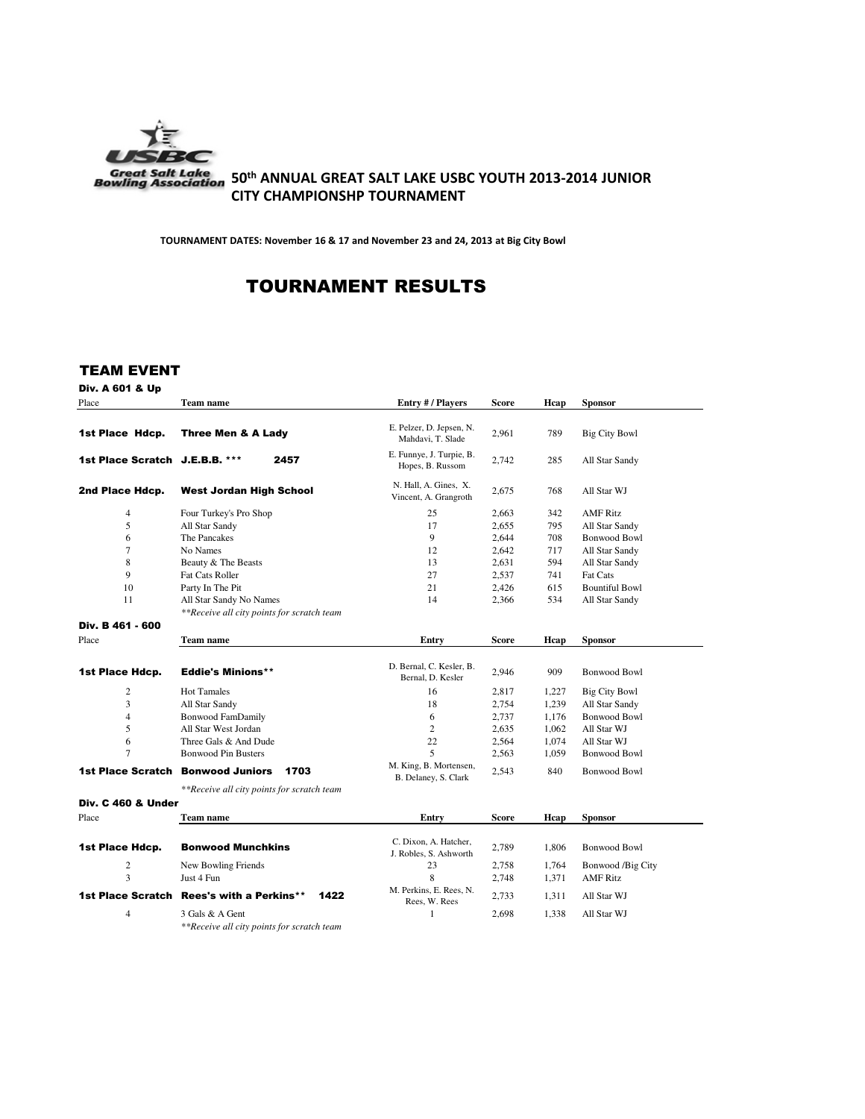

# 50<sup>th</sup> ANNUAL GREAT SALT LAKE USBC YOUTH 2013-2014 JUNIOR **CITY CHAMPIONSHP TOURNAMENT**

TOURNAMENT DATES: November 16 & 17 and November 23 and 24, 2013 at Big City Bowl

# TOURNAMENT RESULTS

## TEAM EVENT

Div. A 601 & Up

| Place                          | Team name                                                     | Entry # / Players                               | Score        | Hcap  | <b>Sponsor</b>        |
|--------------------------------|---------------------------------------------------------------|-------------------------------------------------|--------------|-------|-----------------------|
| 1st Place Hdcp.                | Three Men & A Lady                                            | E. Pelzer, D. Jepsen, N.<br>Mahdavi, T. Slade   | 2,961        | 789   | <b>Big City Bowl</b>  |
| 1st Place Scratch J.E.B.B. *** | 2457                                                          | E. Funnye, J. Turpie, B.<br>Hopes, B. Russom    | 2,742        | 285   | All Star Sandy        |
| 2nd Place Hdcp.                | <b>West Jordan High School</b>                                | N. Hall, A. Gines, X.<br>Vincent, A. Grangroth  | 2,675        | 768   | All Star WJ           |
| $\overline{4}$                 | Four Turkey's Pro Shop                                        | 25                                              | 2,663        | 342   | <b>AMF Ritz</b>       |
| 5                              | All Star Sandy                                                | 17                                              | 2,655        | 795   | All Star Sandy        |
| 6                              | The Pancakes                                                  | 9                                               | 2,644        | 708   | <b>Bonwood Bowl</b>   |
| $\tau$                         | No Names                                                      | 12                                              | 2,642        | 717   | All Star Sandy        |
| 8                              | Beauty & The Beasts                                           | 13                                              | 2,631        | 594   | All Star Sandy        |
| 9                              | Fat Cats Roller                                               | 27                                              | 2,537        | 741   | <b>Fat Cats</b>       |
| 10                             | Party In The Pit                                              | 21                                              | 2,426        | 615   | <b>Bountiful Bowl</b> |
| 11                             | All Star Sandy No Names                                       | 14                                              | 2,366        | 534   | All Star Sandy        |
|                                | **Receive all city points for scratch team                    |                                                 |              |       |                       |
| Div. B 461 - 600               |                                                               |                                                 |              |       |                       |
| Place                          | Team name                                                     | Entry                                           | Score        | Hcap  | <b>Sponsor</b>        |
|                                |                                                               |                                                 |              |       |                       |
| 1st Place Hdcp.                | <b>Eddie's Minions**</b>                                      | D. Bernal, C. Kesler, B.<br>Bernal, D. Kesler   | 2,946        | 909   | <b>Bonwood Bowl</b>   |
| $\overline{2}$                 | <b>Hot Tamales</b>                                            | 16                                              | 2,817        | 1,227 | <b>Big City Bowl</b>  |
| 3                              | All Star Sandy                                                | 18                                              | 2,754        | 1,239 | All Star Sandy        |
| $\overline{4}$                 | <b>Bonwood FamDamily</b>                                      | 6                                               | 2,737        | 1.176 | <b>Bonwood Bowl</b>   |
| 5                              | All Star West Jordan                                          | $\overline{c}$                                  | 2,635        | 1.062 | All Star WJ           |
| 6                              | Three Gals & And Dude                                         | 22                                              | 2,564        | 1,074 | All Star WJ           |
| $\tau$                         | <b>Bonwood Pin Busters</b>                                    | 5                                               | 2,563        | 1,059 | <b>Bonwood Bowl</b>   |
| <b>1st Place Scratch</b>       | <b>Bonwood Juniors</b><br>1703                                | M. King, B. Mortensen,<br>B. Delaney, S. Clark  | 2,543        | 840   | <b>Bonwood Bowl</b>   |
|                                | **Receive all city points for scratch team                    |                                                 |              |       |                       |
| <b>Div. C 460 &amp; Under</b>  |                                                               |                                                 |              |       |                       |
| Place                          | <b>Team name</b>                                              | Entry                                           | <b>Score</b> | Hcap  | <b>Sponsor</b>        |
| 1st Place Hdcp.                | <b>Bonwood Munchkins</b>                                      | C. Dixon, A. Hatcher,<br>J. Robles, S. Ashworth | 2,789        | 1,806 | <b>Bonwood Bowl</b>   |
| $\overline{2}$                 | New Bowling Friends                                           | 23                                              | 2,758        | 1,764 | Bonwood /Big City     |
| 3                              | Just 4 Fun                                                    | 8                                               | 2,748        | 1,371 | <b>AMF Ritz</b>       |
| 1st Place Scratch              | <b>Rees's with a Perkins**</b><br>1422                        | M. Perkins, E. Rees, N.<br>Rees, W. Rees        | 2,733        | 1,311 | All Star WJ           |
| $\overline{4}$                 | 3 Gals & A Gent<br>**Receive all city points for scratch team | 1                                               | 2,698        | 1,338 | All Star WJ           |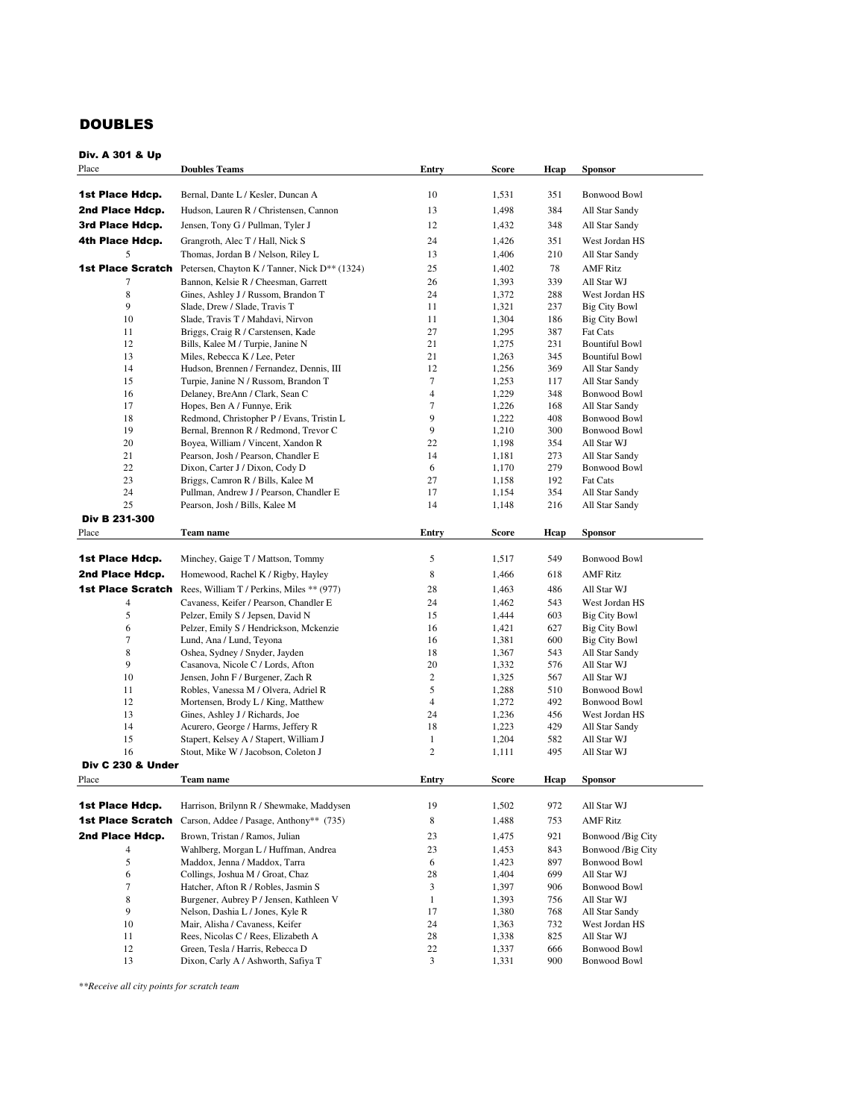# DOUBLES

| Place                    | <b>Doubles Teams</b>                                                         | Entry            | Score          | Hcap       | <b>Sponsor</b>                               |
|--------------------------|------------------------------------------------------------------------------|------------------|----------------|------------|----------------------------------------------|
|                          |                                                                              |                  |                |            |                                              |
| 1st Place Hdcp.          | Bernal, Dante L / Kesler, Duncan A                                           | 10               | 1,531          | 351        | <b>Bonwood Bowl</b>                          |
| 2nd Place Hdcp.          | Hudson, Lauren R / Christensen, Cannon                                       | 13               | 1,498          | 384        | All Star Sandy                               |
| 3rd Place Hdcp.          | Jensen, Tony G / Pullman, Tyler J                                            | 12               | 1,432          | 348        | All Star Sandy                               |
| 4th Place Hdcp.          | Grangroth, Alec T / Hall, Nick S                                             | 24               | 1,426          | 351        | West Jordan HS                               |
| 5                        | Thomas, Jordan B / Nelson, Riley L                                           | 13               | 1,406          | 210        | All Star Sandy                               |
|                          | <b>1st Place Scratch</b> Petersen, Chayton K / Tanner, Nick D** (1324)       | 25               | 1,402          | 78         | <b>AMF Ritz</b>                              |
|                          |                                                                              |                  |                |            |                                              |
| 7<br>8                   | Bannon, Kelsie R / Cheesman, Garrett                                         | 26<br>24         | 1,393<br>1,372 | 339<br>288 | All Star WJ                                  |
| 9                        | Gines, Ashley J / Russom, Brandon T<br>Slade, Drew / Slade, Travis T         | 11               | 1,321          | 237        | West Jordan HS<br><b>Big City Bowl</b>       |
| 10                       | Slade, Travis T / Mahdavi, Nirvon                                            | 11               | 1,304          | 186        | <b>Big City Bowl</b>                         |
| 11                       | Briggs, Craig R / Carstensen, Kade                                           | 27               | 1,295          | 387        | Fat Cats                                     |
| 12                       | Bills, Kalee M / Turpie, Janine N                                            | 21               | 1,275          | 231        | <b>Bountiful Bowl</b>                        |
| 13                       | Miles, Rebecca K / Lee, Peter                                                | 21               | 1,263          | 345        | <b>Bountiful Bowl</b>                        |
| 14                       | Hudson, Brennen / Fernandez, Dennis, III                                     | 12               | 1,256          | 369        | All Star Sandy                               |
| 15                       | Turpie, Janine N / Russom, Brandon T                                         | 7                | 1,253          | 117        | All Star Sandy                               |
| 16                       | Delaney, BreAnn / Clark, Sean C                                              | $\overline{4}$   | 1,229          | 348        | Bonwood Bowl                                 |
| 17                       | Hopes, Ben A / Funnye, Erik                                                  | 7                | 1,226          | 168        | All Star Sandy                               |
| 18                       | Redmond, Christopher P / Evans, Tristin L                                    | 9                | 1,222          | 408        | <b>Bonwood Bowl</b>                          |
| 19                       | Bernal, Brennon R / Redmond, Trevor C                                        | 9                | 1,210          | 300        | <b>Bonwood Bowl</b>                          |
| 20                       | Boyea, William / Vincent, Xandon R                                           | 22               | 1,198          | 354        | All Star WJ                                  |
| 21                       | Pearson, Josh / Pearson, Chandler E                                          | 14               | 1,181          | 273        | All Star Sandy                               |
| 22                       | Dixon, Carter J / Dixon, Cody D                                              | 6                | 1,170          | 279        | <b>Bonwood Bowl</b>                          |
| 23                       | Briggs, Camron R / Bills, Kalee M                                            | 27               | 1,158          | 192        | Fat Cats                                     |
| 24                       | Pullman, Andrew J / Pearson, Chandler E                                      | 17               | 1,154          | 354        | All Star Sandy                               |
| 25                       | Pearson, Josh / Bills, Kalee M                                               | 14               | 1,148          | 216        | All Star Sandy                               |
| Div B 231-300            |                                                                              |                  |                |            |                                              |
| Place                    | Team name                                                                    | Entry            | Score          | Hcap       | <b>Sponsor</b>                               |
|                          |                                                                              |                  |                |            |                                              |
| 1st Place Hdcp.          | Minchey, Gaige T / Mattson, Tommy                                            | 5                | 1,517          | 549        | Bonwood Bowl                                 |
| 2nd Place Hdcp.          | Homewood, Rachel K / Rigby, Hayley                                           | 8                | 1,466          | 618        | <b>AMF Ritz</b>                              |
| 1st Place Scratch        | Rees, William T / Perkins, Miles ** (977)                                    |                  |                |            | All Star WJ                                  |
|                          |                                                                              | 28               | 1,463          | 486        |                                              |
| $\overline{4}$           | Cavaness, Keifer / Pearson, Chandler E                                       | 24               | 1,462          | 543        | West Jordan HS                               |
| 5<br>6                   | Pelzer, Emily S / Jepsen, David N<br>Pelzer, Emily S / Hendrickson, Mckenzie | 15<br>16         | 1,444<br>1,421 | 603<br>627 | <b>Big City Bowl</b><br><b>Big City Bowl</b> |
| 7                        | Lund, Ana / Lund, Teyona                                                     | 16               | 1,381          | 600        | <b>Big City Bowl</b>                         |
| 8                        | Oshea, Sydney / Snyder, Jayden                                               | 18               | 1,367          | 543        | All Star Sandy                               |
| 9                        | Casanova, Nicole C / Lords, Afton                                            | 20               | 1,332          | 576        | All Star WJ                                  |
| 10                       | Jensen, John F / Burgener, Zach R                                            | $\boldsymbol{2}$ | 1,325          | 567        | All Star WJ                                  |
| 11                       | Robles, Vanessa M / Olvera, Adriel R                                         | 5                | 1,288          | 510        | Bonwood Bowl                                 |
| 12                       | Mortensen, Brody L / King, Matthew                                           | $\overline{4}$   | 1,272          | 492        | <b>Bonwood Bowl</b>                          |
| 13                       | Gines, Ashley J / Richards, Joe                                              | 24               | 1,236          | 456        | West Jordan HS                               |
| 14                       | Acurero, George / Harms, Jeffery R                                           | 18               | 1,223          | 429        | All Star Sandy                               |
| 15                       | Stapert, Kelsey A / Stapert, William J                                       | $\mathbf{1}$     | 1,204          | 582        | All Star WJ                                  |
| 16                       | Stout, Mike W / Jacobson, Coleton J                                          | $\boldsymbol{2}$ | 1,111          | 495        | All Star WJ                                  |
| Div C 230 & Under        |                                                                              |                  |                |            |                                              |
| Place                    | Team name                                                                    | Entry            | Score          | Hcap       | <b>Sponsor</b>                               |
|                          |                                                                              |                  |                |            |                                              |
| 1st Place Hdcp.          | Harrison, Brilynn R / Shewmake, Maddysen                                     | 19               | 1,502          | 972        | All Star WJ                                  |
| <b>1st Place Scratch</b> |                                                                              |                  |                |            |                                              |
|                          | Carson, Addee / Pasage, Anthony** (735)                                      | 8                | 1,488          | 753        | <b>AMF Ritz</b>                              |
| 2nd Place Hdcp.          | Brown, Tristan / Ramos, Julian                                               | 23               | 1,475          | 921        | Bonwood /Big City                            |
| $\overline{4}$           | Wahlberg, Morgan L / Huffman, Andrea                                         | 23               | 1,453          | 843        | Bonwood /Big City                            |
| 5                        | Maddox, Jenna / Maddox, Tarra                                                | 6                | 1,423          | 897        | Bonwood Bowl                                 |
| 6                        | Collings, Joshua M / Groat, Chaz                                             | 28               | 1,404          | 699        | All Star WJ                                  |
| 7                        | Hatcher, Afton R / Robles, Jasmin S                                          | 3                | 1,397          | 906        | Bonwood Bowl                                 |
| 8                        | Burgener, Aubrey P / Jensen, Kathleen V                                      | $\mathbf{1}$     | 1,393          | 756        | All Star WJ                                  |
| 9                        | Nelson, Dashia L / Jones, Kyle R                                             | 17               | 1,380          | 768        | All Star Sandy                               |
| 10                       | Mair, Alisha / Cavaness, Keifer                                              | 24               | 1,363          | 732        | West Jordan HS                               |
| 11                       | Rees, Nicolas C / Rees, Elizabeth A                                          | 28               | 1,338          | 825        | All Star WJ                                  |
| 12                       | Green, Tesla / Harris, Rebecca D                                             | 22               | 1,337          | 666        | Bonwood Bowl                                 |
| 13                       | Dixon, Carly A / Ashworth, Safiya T                                          | 3                | 1,331          | 900        | <b>Bonwood Bowl</b>                          |

*\*\*Receive all city points for scratch team*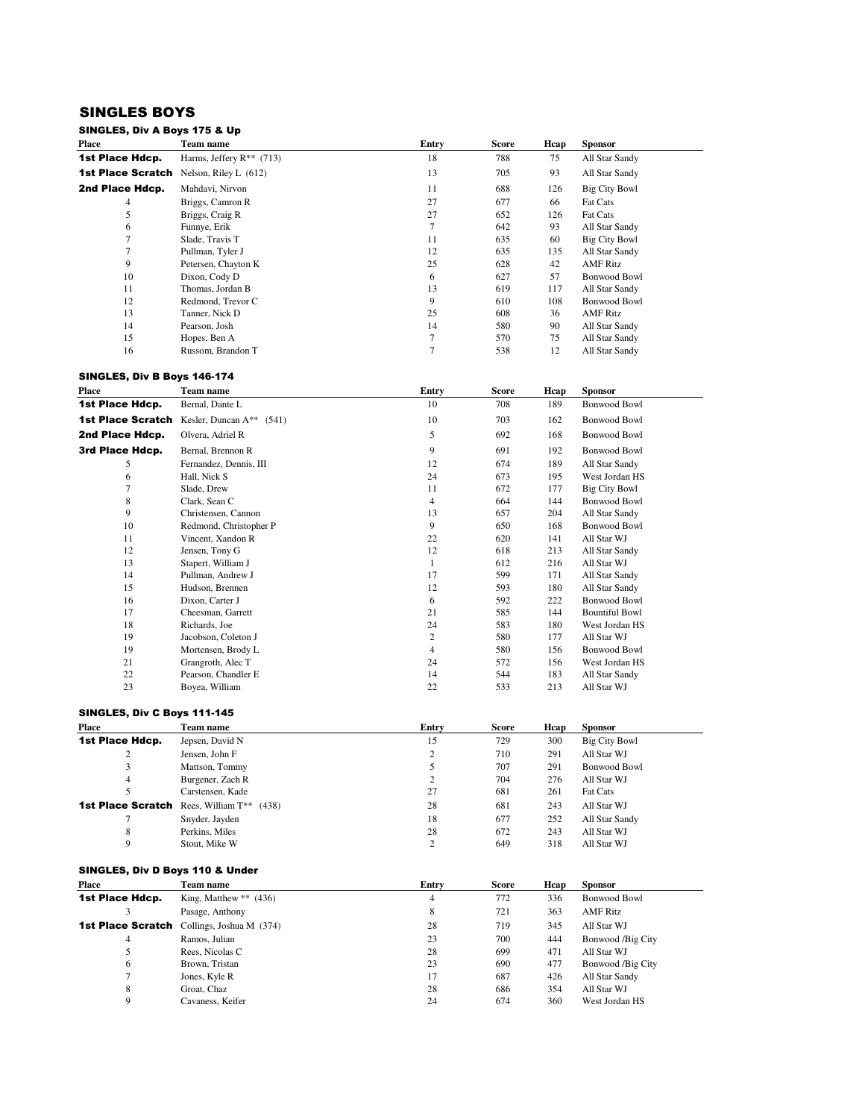## SINGLES BOYS

#### SINGLES, Div A Boys 175 & Up

| <b>Place</b>             | Team name                     | Entry | Score | Hcap | <b>Sponsor</b>       |
|--------------------------|-------------------------------|-------|-------|------|----------------------|
| 1st Place Hdcp.          | Harms, Jeffery $R^{**}$ (713) | 18    | 788   | 75   | All Star Sandy       |
| <b>1st Place Scratch</b> | Nelson, Riley L $(612)$       | 13    | 705   | 93   | All Star Sandy       |
| 2nd Place Hdcp.          | Mahdavi, Nirvon               | 11    | 688   | 126  | Big City Bowl        |
| 4                        | Briggs, Camron R              | 27    | 677   | 66   | <b>Fat Cats</b>      |
| 5                        | Briggs, Craig R               | 27    | 652   | 126  | Fat Cats             |
| 6                        | Funnye, Erik                  |       | 642   | 93   | All Star Sandy       |
| 7                        | Slade, Travis T               | 11    | 635   | 60   | <b>Big City Bowl</b> |
|                          | Pullman, Tyler J              | 12    | 635   | 135  | All Star Sandy       |
| 9                        | Petersen, Chayton K           | 25    | 628   | 42   | <b>AMF</b> Ritz      |
| 10                       | Dixon, Cody D                 | 6     | 627   | 57   | <b>Bonwood Bowl</b>  |
| 11                       | Thomas, Jordan B              | 13    | 619   | 117  | All Star Sandy       |
| 12                       | Redmond, Trevor C             | 9     | 610   | 108  | <b>Bonwood Bowl</b>  |
| 13                       | Tanner, Nick D                | 25    | 608   | 36   | <b>AMF</b> Ritz      |
| 14                       | Pearson, Josh                 | 14    | 580   | 90   | All Star Sandy       |
| 15                       | Hopes, Ben A                  | 7     | 570   | 75   | All Star Sandy       |
| 16                       | Russom, Brandon T             |       | 538   | 12   | All Star Sandy       |

#### SINGLES, Div B Boys 146-174

| Place                    | Team name                     | Entry          | <b>Score</b> | Hcap | <b>Sponsor</b>        |
|--------------------------|-------------------------------|----------------|--------------|------|-----------------------|
| 1st Place Hdcp.          | Bernal, Dante L               | 10             | 708          | 189  | <b>Bonwood Bowl</b>   |
| <b>1st Place Scratch</b> | Kesler, Duncan $A^{**}$ (541) | 10             | 703          | 162  | Bonwood Bowl          |
| 2nd Place Hdcp.          | Olvera, Adriel R              | 5              | 692          | 168  | <b>Bonwood Bowl</b>   |
| 3rd Place Hdcp.          | Bernal, Brennon R             | 9              | 691          | 192  | <b>Bonwood Bowl</b>   |
| 5                        | Fernandez, Dennis, III        | 12             | 674          | 189  | All Star Sandy        |
| 6                        | Hall, Nick S                  | 24             | 673          | 195  | West Jordan HS        |
| 7                        | Slade, Drew                   | 11             | 672          | 177  | Big City Bowl         |
| 8                        | Clark, Sean C                 | $\overline{4}$ | 664          | 144  | <b>Bonwood Bowl</b>   |
| 9                        | Christensen, Cannon           | 13             | 657          | 204  | All Star Sandy        |
| 10                       | Redmond, Christopher P        | 9              | 650          | 168  | <b>Bonwood Bowl</b>   |
| 11                       | Vincent, Xandon R             | 22             | 620          | 141  | All Star WJ           |
| 12                       | Jensen, Tony G                | 12             | 618          | 213  | All Star Sandy        |
| 13                       | Stapert, William J            | 1              | 612          | 216  | All Star WJ           |
| 14                       | Pullman, Andrew J             | 17             | 599          | 171  | All Star Sandy        |
| 15                       | Hudson, Brennen               | 12             | 593          | 180  | All Star Sandy        |
| 16                       | Dixon, Carter J               | 6              | 592          | 222  | Bonwood Bowl          |
| 17                       | Cheesman, Garrett             | 21             | 585          | 144  | <b>Bountiful Bowl</b> |
| 18                       | Richards, Joe                 | 24             | 583          | 180  | West Jordan HS        |
| 19                       | Jacobson, Coleton J           | 2              | 580          | 177  | All Star WJ           |
| 19                       | Mortensen, Brody L            | $\overline{4}$ | 580          | 156  | <b>Bonwood Bowl</b>   |
| 21                       | Grangroth, Alec T             | 24             | 572          | 156  | West Jordan HS        |
| 22                       | Pearson, Chandler E           | 14             | 544          | 183  | All Star Sandy        |
| 23                       | Boyea, William                | 22             | 533          | 213  | All Star WJ           |

#### SINGLES, Div C Boys 111-145

| Place           | Team name                                        | Entry          | Score | Hcap | <b>Sponsor</b>       |
|-----------------|--------------------------------------------------|----------------|-------|------|----------------------|
| 1st Place Hdcp. | Jepsen, David N                                  | 15             | 729   | 300  | <b>Big City Bowl</b> |
| 2               | Jensen, John F                                   | $\overline{2}$ | 710   | 291  | All Star WJ          |
| 3               | Mattson, Tommy                                   | 5              | 707   | 291  | <b>Bonwood Bowl</b>  |
| $\overline{4}$  | Burgener, Zach R                                 | ↑<br>∠         | 704   | 276  | All Star WJ          |
|                 | Carstensen, Kade                                 | 27             | 681   | 261  | Fat Cats             |
|                 | <b>1st Place Scratch</b> Rees, William T** (438) | 28             | 681   | 243  | All Star WJ          |
|                 | Snyder, Jayden                                   | 18             | 677   | 252  | All Star Sandy       |
| 8               | Perkins, Miles                                   | 28             | 672   | 243  | All Star WJ          |
| Q               | Stout. Mike W                                    | $\mathcal{L}$  | 649   | 318  | All Star WJ          |

#### SINGLES, Div D Boys 110 & Under

| Place           | Team name                                         | Entry | <b>Score</b> | Hcap | <b>Sponsor</b>      |
|-----------------|---------------------------------------------------|-------|--------------|------|---------------------|
| 1st Place Hdcp. | King, Matthew $**$ (436)                          | 4     | 772          | 336  | <b>Bonwood Bowl</b> |
|                 | Pasage, Anthony                                   | 8     | 721          | 363  | <b>AMF</b> Ritz     |
|                 | <b>1st Place Scratch</b> Collings, Joshua M (374) | 28    | 719          | 345  | All Star WJ         |
| 4               | Ramos, Julian                                     | 23    | 700          | 444  | Bonwood /Big City   |
| 5               | Rees, Nicolas C                                   | 28    | 699          | 471  | All Star WJ         |
| 6               | Brown, Tristan                                    | 23    | 690          | 477  | Bonwood /Big City   |
| 7               | Jones, Kyle R                                     | 17    | 687          | 426  | All Star Sandy      |
| 8               | Groat. Chaz                                       | 28    | 686          | 354  | All Star WJ         |
| Q               | Cavaness, Keifer                                  | 24    | 674          | 360  | West Jordan HS      |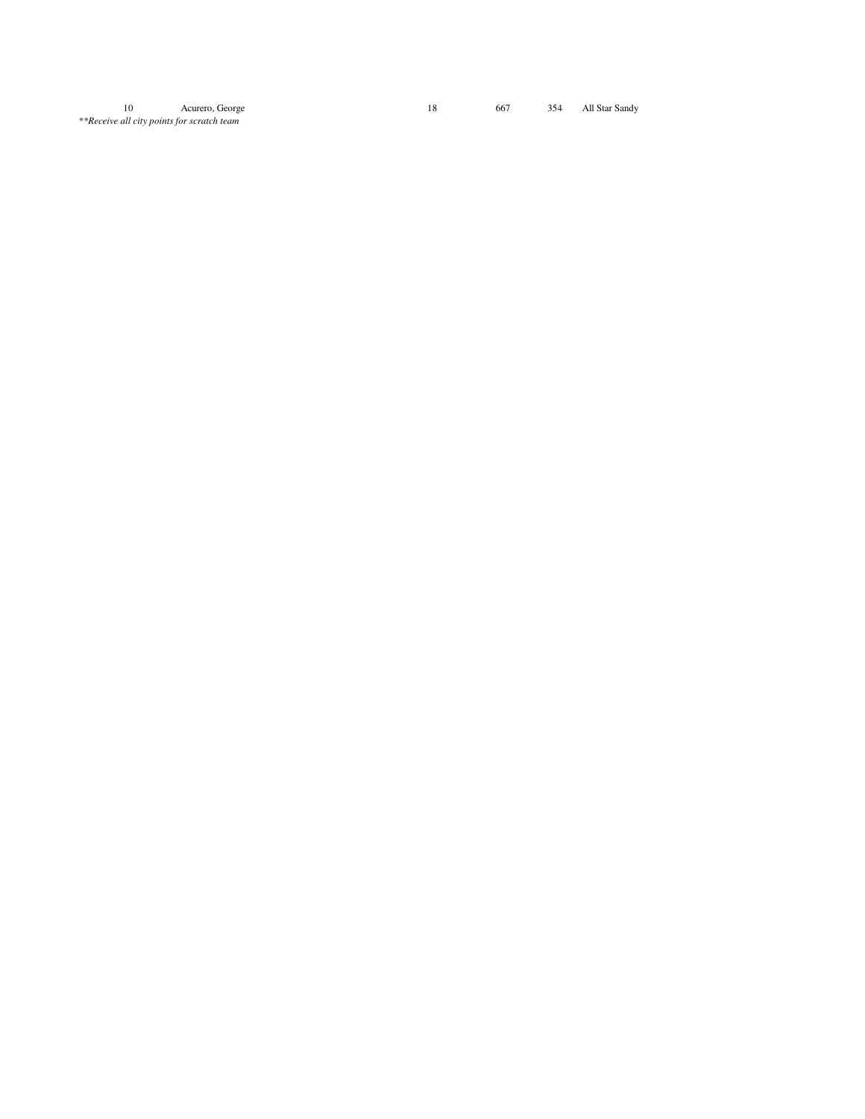10 Acurero, George \*\*Receive all city points for scratch team

18 667 354 All Star Sandy